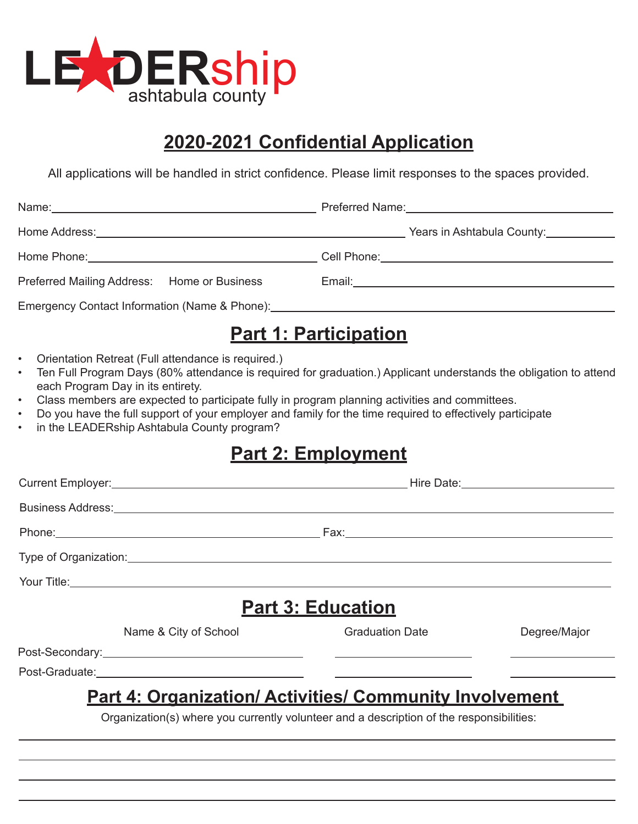

## **2020-2021 Confidential Application**

All applications will be handled in strict confidence. Please limit responses to the spaces provided.

| Preferred Mailing Address: Home or Business                                                                                                                                                                                                                                                                                                                                                                            | Email: 2008. 2009. 2010. 2010. 2010. 2010. 2010. 2010. 2010. 2010. 2010. 2010. 2010. 2010. 2010. 2010. 2010. 20                                            |  |  |
|------------------------------------------------------------------------------------------------------------------------------------------------------------------------------------------------------------------------------------------------------------------------------------------------------------------------------------------------------------------------------------------------------------------------|------------------------------------------------------------------------------------------------------------------------------------------------------------|--|--|
|                                                                                                                                                                                                                                                                                                                                                                                                                        |                                                                                                                                                            |  |  |
|                                                                                                                                                                                                                                                                                                                                                                                                                        | <u>Part 1: Participation</u>                                                                                                                               |  |  |
| Orientation Retreat (Full attendance is required.)<br>$\bullet$<br>$\bullet$<br>each Program Day in its entirety.<br>Class members are expected to participate fully in program planning activities and committees.<br>$\bullet$<br>Do you have the full support of your employer and family for the time required to effectively participate<br>$\bullet$<br>in the LEADERship Ashtabula County program?<br>$\bullet$ | Ten Full Program Days (80% attendance is required for graduation.) Applicant understands the obligation to attend                                          |  |  |
|                                                                                                                                                                                                                                                                                                                                                                                                                        | <u>Part 2: Employment</u>                                                                                                                                  |  |  |
|                                                                                                                                                                                                                                                                                                                                                                                                                        |                                                                                                                                                            |  |  |
|                                                                                                                                                                                                                                                                                                                                                                                                                        |                                                                                                                                                            |  |  |
|                                                                                                                                                                                                                                                                                                                                                                                                                        |                                                                                                                                                            |  |  |
|                                                                                                                                                                                                                                                                                                                                                                                                                        |                                                                                                                                                            |  |  |
|                                                                                                                                                                                                                                                                                                                                                                                                                        |                                                                                                                                                            |  |  |
|                                                                                                                                                                                                                                                                                                                                                                                                                        | <b>Part 3: Education</b>                                                                                                                                   |  |  |
| Name & City of School                                                                                                                                                                                                                                                                                                                                                                                                  | <b>Graduation Date</b><br>Degree/Major                                                                                                                     |  |  |
| Post-Graduate:                                                                                                                                                                                                                                                                                                                                                                                                         |                                                                                                                                                            |  |  |
|                                                                                                                                                                                                                                                                                                                                                                                                                        | <b>Part 4: Organization/ Activities/ Community Involvement</b><br>Organization(s) where you currently volunteer and a description of the responsibilities: |  |  |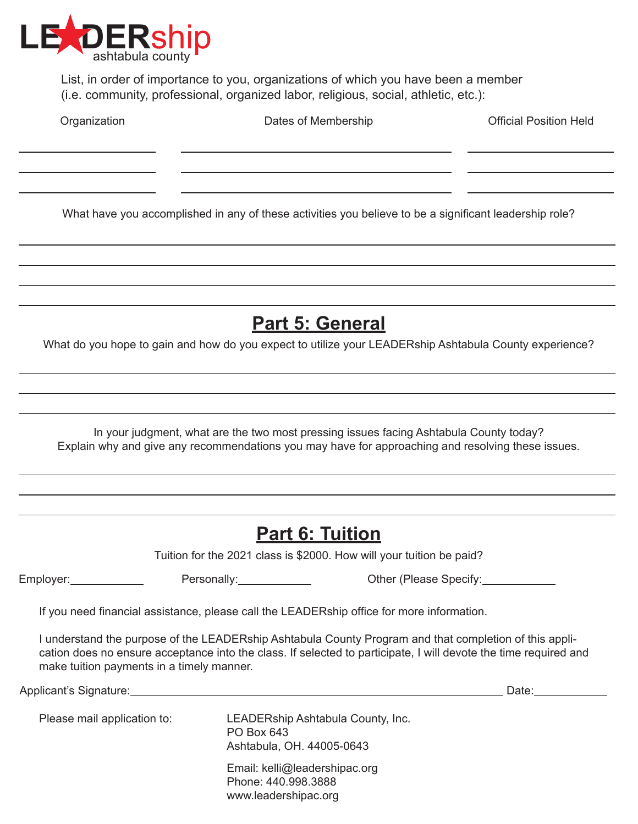

List, in order of importance to you, organizations of which you have been a member (i.e. community, professional, organized labor, religious, social, athletic, etc.):

 $\overline{a}$  $\overline{a}$  $\overline{a}$ 

 $\overline{a}$ 

 $\overline{a}$ 

 $\overline{a}$ 

<u> 1980 - Johann Stoff, Amerikaansk politiker (</u>

Organization **Dates of Membership Dates of Membership Designal Position Held** 

What have you accomplished in any of these activities you believe to be a significant leadership role?

**Part 5: General**

What do you hope to gain and how do you expect to utilize your LEADERship Ashtabula County experience?

In your judgment, what are the two most pressing issues facing Ashtabula County today? Explain why and give any recommendations you may have for approaching and resolving these issues.

|                                           | <b>Part 6: Tuition</b>                                                                    |                                                                                                                                                                                                                                |
|-------------------------------------------|-------------------------------------------------------------------------------------------|--------------------------------------------------------------------------------------------------------------------------------------------------------------------------------------------------------------------------------|
|                                           | Tuition for the 2021 class is \$2000. How will your tuition be paid?                      |                                                                                                                                                                                                                                |
| Employer:_____________                    |                                                                                           | Other (Please Specify:                                                                                                                                                                                                         |
|                                           | If you need financial assistance, please call the LEADERship office for more information. |                                                                                                                                                                                                                                |
| make tuition payments in a timely manner. |                                                                                           | I understand the purpose of the LEADERship Ashtabula County Program and that completion of this appli-<br>cation does no ensure acceptance into the class. If selected to participate, I will devote the time required and     |
|                                           |                                                                                           | Date: the contract of the contract of the contract of the contract of the contract of the contract of the contract of the contract of the contract of the contract of the contract of the contract of the contract of the cont |
| Please mail application to:               | LEADERship Ashtabula County, Inc.<br>PO Box 643<br>Ashtabula, OH. 44005-0643              |                                                                                                                                                                                                                                |
|                                           | Email: kelli@leadershipac.org<br>Phone: 440.998.3888<br>www.leadershipac.org              |                                                                                                                                                                                                                                |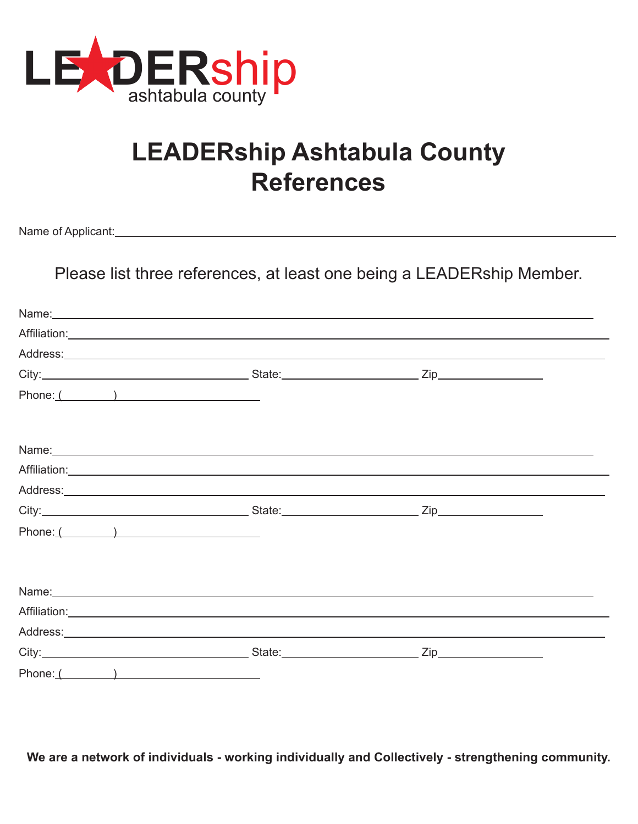

# **LEADERship Ashtabula County References**

Name of Applicant:

Please list three references, at least one being a LEADERship Member.

|          | Name: Name: Name: Name: Name: Name: Name: Name: Name: Name: Name: Name: Name: Name: Name: Name: Name: Name: Name: Name: Name: Name: Name: Name: Name: Name: Name: Name: Name: Name: Name: Name: Name: Name: Name: Name: Name: |                    |  |
|----------|-------------------------------------------------------------------------------------------------------------------------------------------------------------------------------------------------------------------------------|--------------------|--|
|          |                                                                                                                                                                                                                               |                    |  |
|          |                                                                                                                                                                                                                               |                    |  |
|          |                                                                                                                                                                                                                               |                    |  |
| Phone: ( |                                                                                                                                                                                                                               |                    |  |
|          |                                                                                                                                                                                                                               |                    |  |
|          |                                                                                                                                                                                                                               |                    |  |
|          |                                                                                                                                                                                                                               |                    |  |
|          |                                                                                                                                                                                                                               | $\mathsf{Zip}\_\_$ |  |
| Phone: ( |                                                                                                                                                                                                                               |                    |  |
|          | Name: Name: Name: Name: Name: Name: Name: Name: Name: Name: Name: Name: Name: Name: Name: Name: Name: Name: Name: Name: Name: Name: Name: Name: Name: Name: Name: Name: Name: Name: Name: Name: Name: Name: Name: Name: Name: |                    |  |
|          |                                                                                                                                                                                                                               |                    |  |
|          |                                                                                                                                                                                                                               |                    |  |
|          |                                                                                                                                                                                                                               |                    |  |
| Phone: ( |                                                                                                                                                                                                                               |                    |  |

**We are a network of individuals - working individually and Collectively - strengthening community.**